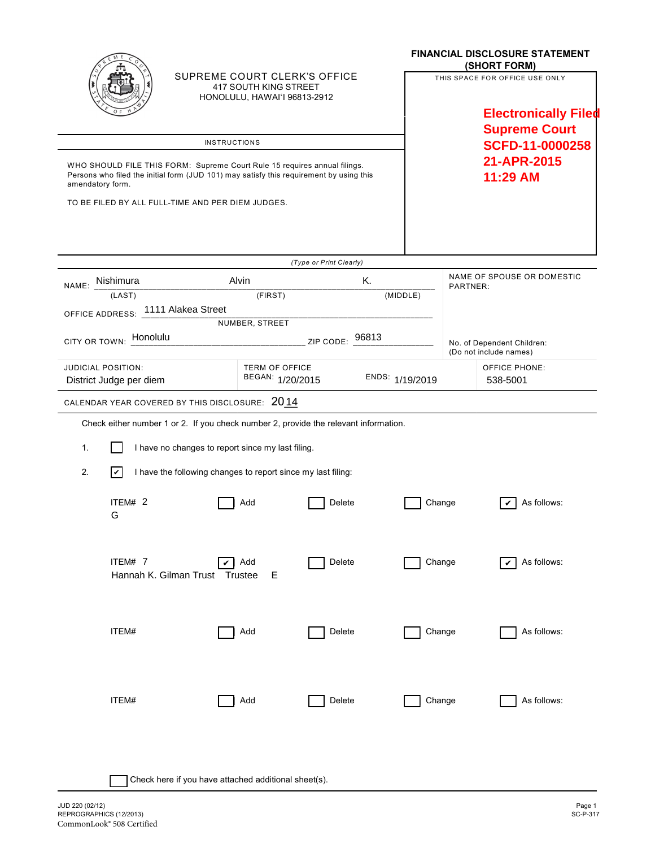|                                                                                                                                                                                          | SUPREME COURT CLERK'S OFFICE<br>417 SOUTH KING STREET<br>HONOLULU, HAWAI'I 96813-2912 |                                           |                         |                     | <b>FINANCIAL DISCLOSURE STATEMENT</b><br>(SHORT FORM)<br>THIS SPACE FOR OFFICE USE ONLY<br><b>Electronically Filed</b> |                                        |                           |
|------------------------------------------------------------------------------------------------------------------------------------------------------------------------------------------|---------------------------------------------------------------------------------------|-------------------------------------------|-------------------------|---------------------|------------------------------------------------------------------------------------------------------------------------|----------------------------------------|---------------------------|
|                                                                                                                                                                                          |                                                                                       |                                           |                         |                     |                                                                                                                        |                                        |                           |
|                                                                                                                                                                                          |                                                                                       |                                           |                         |                     | <b>Supreme Court</b><br><b>SCFD-11-0000258</b><br>21-APR-2015<br>11:29 AM                                              |                                        |                           |
| <b>INSTRUCTIONS</b>                                                                                                                                                                      |                                                                                       |                                           |                         |                     |                                                                                                                        |                                        |                           |
| WHO SHOULD FILE THIS FORM: Supreme Court Rule 15 requires annual filings.<br>Persons who filed the initial form (JUD 101) may satisfy this requirement by using this<br>amendatory form. |                                                                                       |                                           |                         |                     |                                                                                                                        |                                        |                           |
| TO BE FILED BY ALL FULL-TIME AND PER DIEM JUDGES.                                                                                                                                        |                                                                                       |                                           |                         |                     |                                                                                                                        |                                        |                           |
|                                                                                                                                                                                          |                                                                                       |                                           | (Type or Print Clearly) |                     |                                                                                                                        |                                        |                           |
| NAME: Nishimura                                                                                                                                                                          |                                                                                       | Alvin                                     |                         | Κ.                  |                                                                                                                        | NAME OF SPOUSE OR DOMESTIC<br>PARTNER: |                           |
| (LAST)                                                                                                                                                                                   |                                                                                       |                                           |                         | (FIRST)<br>(MIDDLE) |                                                                                                                        |                                        |                           |
| OFFICE ADDRESS: 1111 Alakea Street                                                                                                                                                       |                                                                                       | NUMBER, STREET                            |                         |                     |                                                                                                                        |                                        |                           |
| Honolulu<br>CITY OR TOWN:                                                                                                                                                                | ZIP CODE: 96813                                                                       |                                           |                         |                     | No. of Dependent Children:<br>(Do not include names)                                                                   |                                        |                           |
| JUDICIAL POSITION:<br>District Judge per diem                                                                                                                                            |                                                                                       | <b>TERM OF OFFICE</b><br>BEGAN: 1/20/2015 |                         | ENDS: 1/19/2019     |                                                                                                                        |                                        | OFFICE PHONE:<br>538-5001 |
| CALENDAR YEAR COVERED BY THIS DISCLOSURE: 2014                                                                                                                                           |                                                                                       |                                           |                         |                     |                                                                                                                        |                                        |                           |
| Check either number 1 or 2. If you check number 2, provide the relevant information.                                                                                                     |                                                                                       |                                           |                         |                     |                                                                                                                        |                                        |                           |
| 1.                                                                                                                                                                                       | I have no changes to report since my last filing.                                     |                                           |                         |                     |                                                                                                                        |                                        |                           |
| 2.<br>$ \boldsymbol{v} $                                                                                                                                                                 | I have the following changes to report since my last filing:                          |                                           |                         |                     |                                                                                                                        |                                        |                           |
| ITEM# 2<br>G                                                                                                                                                                             |                                                                                       | Add                                       | <b>Delete</b>           |                     | Change                                                                                                                 |                                        | As follows:               |
| ITEM# 7                                                                                                                                                                                  | Hannah K. Gilman Trust Trustee                                                        | Add<br>Е                                  | <b>Delete</b>           |                     | Change                                                                                                                 |                                        | As follows:               |
| ITEM#                                                                                                                                                                                    |                                                                                       | Add                                       | Delete                  |                     | Change                                                                                                                 |                                        | As follows:               |
| ITEM#                                                                                                                                                                                    |                                                                                       | Add                                       | Delete                  |                     | Change                                                                                                                 |                                        | As follows:               |
|                                                                                                                                                                                          | Check here if you have attached additional sheet(s).                                  |                                           |                         |                     |                                                                                                                        |                                        |                           |